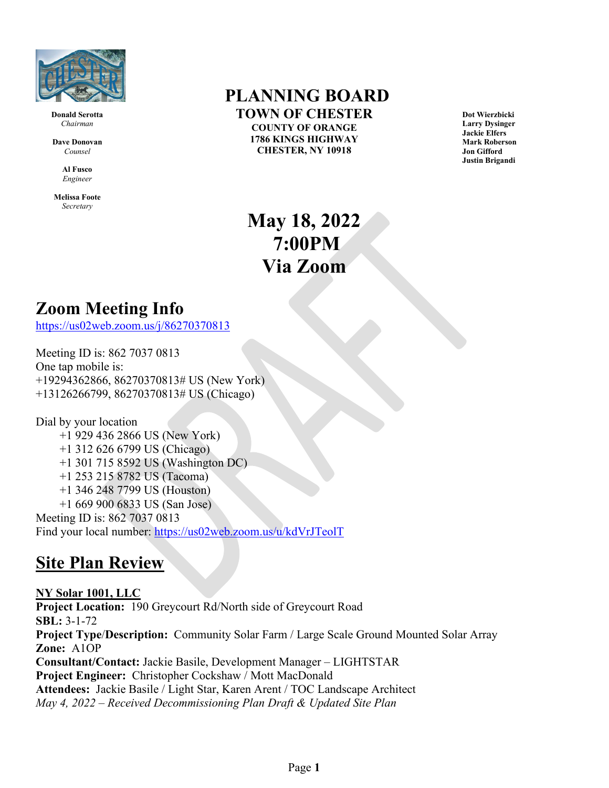

**Donald Serotta** *Chairman*

**Dave Donovan** *Counsel*

> **Al Fusco** *Engineer*

**Melissa Foote** *Secretary*

## **PLANNING BOARD TOWN OF CHESTER COUNTY OF ORANGE**

**1786 KINGS HIGHWAY CHESTER, NY 10918**

**Dot Wierzbicki Larry Dysinger Jackie Elfers Mark Roberson Jon Gifford Justin Brigandi**

**May 18, 2022 7:00PM Via Zoom**

## **Zoom Meeting Info**

<https://us02web.zoom.us/j/86270370813>

Meeting ID is: 862 7037 0813 One tap mobile is: +19294362866, 86270370813# US (New York) +13126266799, 86270370813# US (Chicago)

Dial by your location +1 929 436 2866 US (New York) +1 312 626 6799 US (Chicago) +1 301 715 8592 US (Washington DC) +1 253 215 8782 US (Tacoma) +1 346 248 7799 US (Houston) +1 669 900 6833 US (San Jose) Meeting ID is: 862 7037 0813 Find your local number:<https://us02web.zoom.us/u/kdVrJTeolT>

## **Site Plan Review**

**NY Solar 1001, LLC Project Location:** 190 Greycourt Rd/North side of Greycourt Road **SBL:** 3-1-72 **Project Type**/**Description:** Community Solar Farm / Large Scale Ground Mounted Solar Array **Zone:** A1OP **Consultant/Contact:** Jackie Basile, Development Manager – LIGHTSTAR **Project Engineer:** Christopher Cockshaw / Mott MacDonald **Attendees:** Jackie Basile / Light Star, Karen Arent / TOC Landscape Architect *May 4, 2022 – Received Decommissioning Plan Draft & Updated Site Plan*